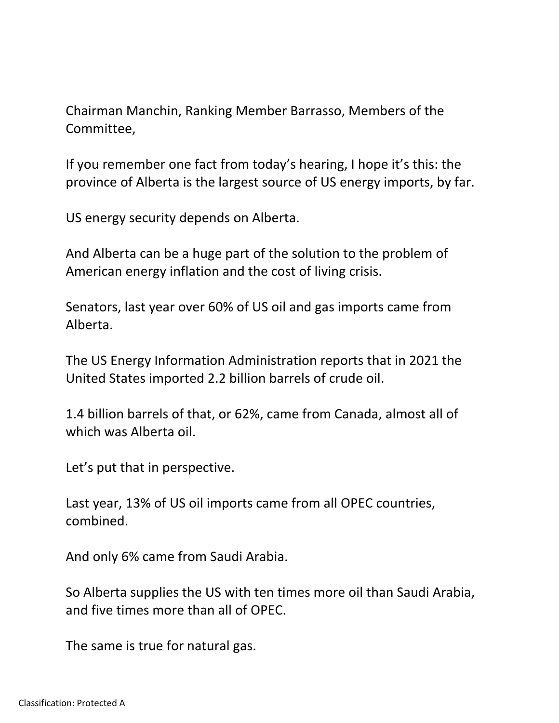Chairman Manchin, Ranking Member Barrasso, Members of the Committee,

If you remember one fact from today's hearing, I hope it's this: the province of Alberta is the largest source of US energy imports, by far.

US energy security depends on Alberta.

And Alberta can be a huge part of the solution to the problem of American energy inflation and the cost of living crisis.

Senators, last year over 60% of US oil and gas imports came from Alberta.

The US Energy Information Administration reports that in 2021 the United States imported 2.2 billion barrels of crude oil.

1.4 billion barrels of that, or 62%, came from Canada, almost all of which was Alberta oil.

Let's put that in perspective.

Last year, 13% of US oil imports came from all OPEC countries, combined.

And only 6% came from Saudi Arabia.

So Alberta supplies the US with ten times more oil than Saudi Arabia, and five times more than all of OPEC.

The same is true for natural gas.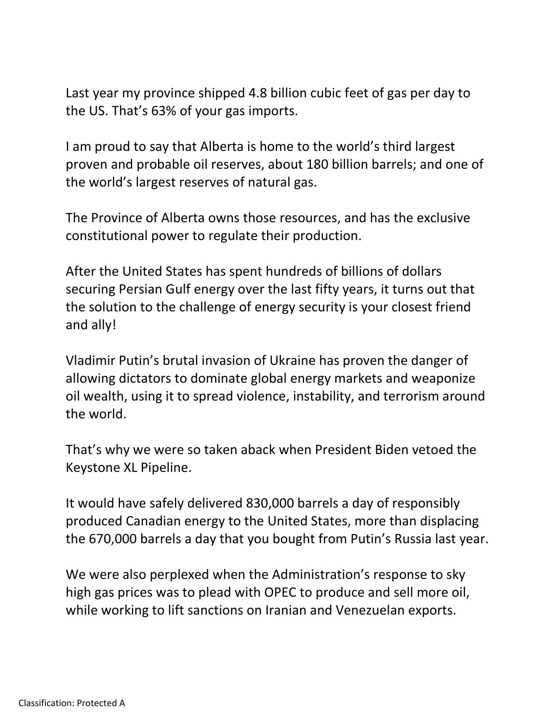Last year my province shipped 4.8 billion cubic feet of gas per day to the US. That's 63% of your gas imports.

I am proud to say that Alberta is home to the world's third largest proven and probable oil reserves, about 180 billion barrels; and one of the world's largest reserves of natural gas.

The Province of Alberta owns those resources, and has the exclusive constitutional power to regulate their production.

After the United States has spent hundreds of billions of dollars securing Persian Gulf energy over the last fifty years, it turns out that the solution to the challenge of energy security is your closest friend and ally!

Vladimir Putin's brutal invasion of Ukraine has proven the danger of allowing dictators to dominate global energy markets and weaponize oil wealth, using it to spread violence, instability, and terrorism around the world.

That's why we were so taken aback when President Biden vetoed the Keystone XL Pipeline.

It would have safely delivered 830,000 barrels a day of responsibly produced Canadian energy to the United States, more than displacing the 670,000 barrels a day that you bought from Putin's Russia last year.

We were also perplexed when the Administration's response to sky high gas prices was to plead with OPEC to produce and sell more oil, while working to lift sanctions on Iranian and Venezuelan exports.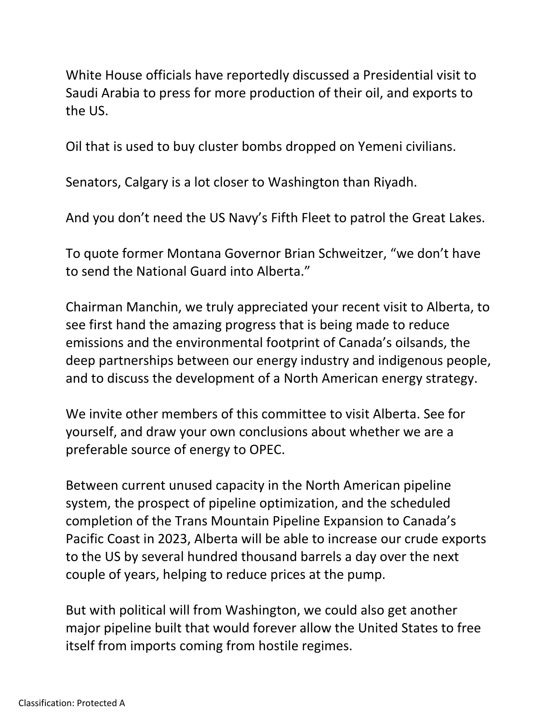White House officials have reportedly discussed a Presidential visit to Saudi Arabia to press for more production of their oil, and exports to the US.

Oil that is used to buy cluster bombs dropped on Yemeni civilians.

Senators, Calgary is a lot closer to Washington than Riyadh.

And you don't need the US Navy's Fifth Fleet to patrol the Great Lakes.

To quote former Montana Governor Brian Schweitzer, "we don't have to send the National Guard into Alberta."

Chairman Manchin, we truly appreciated your recent visit to Alberta, to see first hand the amazing progress that is being made to reduce emissions and the environmental footprint of Canada's oilsands, the deep partnerships between our energy industry and indigenous people, and to discuss the development of a North American energy strategy.

We invite other members of this committee to visit Alberta. See for yourself, and draw your own conclusions about whether we are a preferable source of energy to OPEC.

Between current unused capacity in the North American pipeline system, the prospect of pipeline optimization, and the scheduled completion of the Trans Mountain Pipeline Expansion to Canada's Pacific Coast in 2023, Alberta will be able to increase our crude exports to the US by several hundred thousand barrels a day over the next couple of years, helping to reduce prices at the pump.

But with political will from Washington, we could also get another major pipeline built that would forever allow the United States to free itself from imports coming from hostile regimes.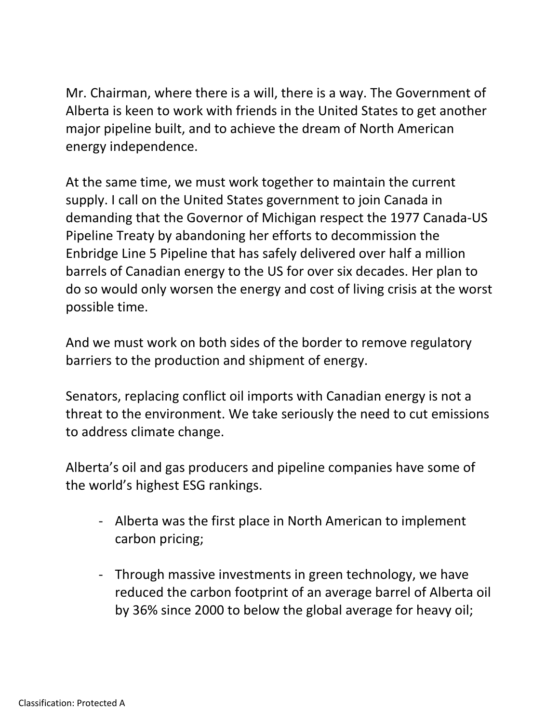Mr. Chairman, where there is a will, there is a way. The Government of Alberta is keen to work with friends in the United States to get another major pipeline built, and to achieve the dream of North American energy independence.

At the same time, we must work together to maintain the current supply. I call on the United States government to join Canada in demanding that the Governor of Michigan respect the 1977 Canada-US Pipeline Treaty by abandoning her efforts to decommission the Enbridge Line 5 Pipeline that has safely delivered over half a million barrels of Canadian energy to the US for over six decades. Her plan to do so would only worsen the energy and cost of living crisis at the worst possible time.

And we must work on both sides of the border to remove regulatory barriers to the production and shipment of energy.

Senators, replacing conflict oil imports with Canadian energy is not a threat to the environment. We take seriously the need to cut emissions to address climate change.

Alberta's oil and gas producers and pipeline companies have some of the world's highest ESG rankings.

- Alberta was the first place in North American to implement carbon pricing;
- Through massive investments in green technology, we have reduced the carbon footprint of an average barrel of Alberta oil by 36% since 2000 to below the global average for heavy oil;